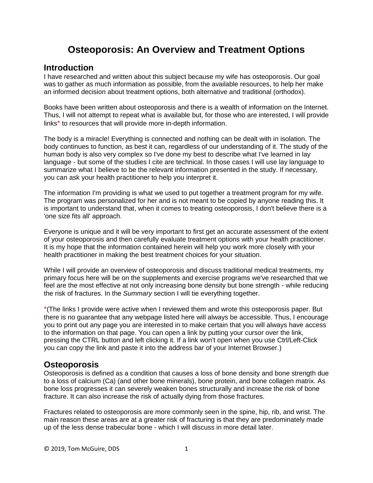# **Osteoporosis: An Overview and Treatment Options**

# **Introduction**

I have researched and written about this subject because my wife has osteoporosis. Our goal was to gather as much information as possible, from the available resources, to help her make an informed decision about treatment options, both alternative and traditional (orthodox).

Books have been written about osteoporosis and there is a wealth of information on the Internet. Thus, I will not attempt to repeat what is available but, for those who are interested, I will provide links\* to resources that will provide more in-depth information.

The body is a miracle! Everything is connected and nothing can be dealt with in isolation. The body continues to function, as best it can, regardless of our understanding of it. The study of the human body is also very complex so I've done my best to describe what I've learned in lay language - but some of the studies I cite are technical. In those cases I will use lay language to summarize what I believe to be the relevant information presented in the study. If necessary, you can ask your health practitioner to help you interpret it.

The information I'm providing is what we used to put together a treatment program for my wife. The program was personalized for her and is not meant to be copied by anyone reading this. It is important to understand that, when it comes to treating osteoporosis, I don't believe there is a 'one size fits all' approach.

Everyone is unique and it will be very important to first get an accurate assessment of the extent of your osteoporosis and then carefully evaluate treatment options with your health practitioner. It is my hope that the information contained herein will help you work more closely with your health practitioner in making the best treatment choices for your situation.

While I will provide an overview of osteoporosis and discuss traditional medical treatments, my primary focus here will be on the supplements and exercise programs we've researched that we feel are the most effective at not only increasing bone density but bone strength - while reducing the risk of fractures. In the *Summary* section I will tie everything together.

\*(The links I provide were active when I reviewed them and wrote this osteoporosis paper. But there is no guarantee that any webpage listed here will always be accessible. Thus, I encourage you to print out any page you are interested in to make certain that you will always have access to the information on that page. You can open a link by putting your cursor over the link, pressing the CTRL button and left clicking it. If a link won't open when you use Ctrl/Left-Click you can copy the link and paste it into the address bar of your Internet Browser.)

## **Osteoporosis**

Osteoporosis is defined as a condition that causes a loss of bone density and bone strength due to a loss of calcium (Ca) (and other bone minerals), bone protein, and bone collagen matrix. As bone loss progresses it can severely weaken bones structurally and increase the risk of bone fracture. It can also increase the risk of actually dying from those fractures.

Fractures related to osteoporosis are more commonly seen in the spine, hip, rib, and wrist. The main reason these areas are at a greater risk of fracturing is that they are predominately made up of the less dense trabecular bone - which I will discuss in more detail later.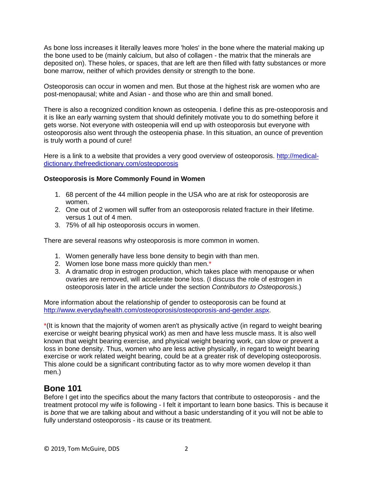As bone loss increases it literally leaves more 'holes' in the bone where the material making up the bone used to be (mainly calcium, but also of collagen - the matrix that the minerals are deposited on). These holes, or spaces, that are left are then filled with fatty substances or more bone marrow, neither of which provides density or strength to the bone.

Osteoporosis can occur in women and men. But those at the highest risk are women who are post-menopausal; white and Asian - and those who are thin and small boned.

There is also a recognized condition known as osteopenia. I define this as pre-osteoporosis and it is like an early warning system that should definitely motivate you to do something before it gets worse. Not everyone with osteopenia will end up with osteoporosis but everyone with osteoporosis also went through the osteopenia phase. In this situation, an ounce of prevention is truly worth a pound of cure!

Here is a link to a website that provides a very good overview of osteoporosis. [http://medical](http://medical-dictionary.thefreedictionary.com/osteoporosis)[dictionary.thefreedictionary.com/osteoporosis](http://medical-dictionary.thefreedictionary.com/osteoporosis)

## **Osteoporosis is More Commonly Found in Women**

- 1. 68 percent of the 44 million people in the USA who are at risk for osteoporosis are women.
- 2. One out of 2 women will suffer from an osteoporosis related fracture in their lifetime. versus 1 out of 4 men.
- 3. 75% of all hip osteoporosis occurs in women.

There are several reasons why osteoporosis is more common in women.

- 1. Women generally have less bone density to begin with than men.
- 2. Women lose bone mass more quickly than men.\*
- 3. A dramatic drop in estrogen production, which takes place with menopause or when ovaries are removed, will accelerate bone loss. (I discuss the role of estrogen in osteoporosis later in the article under the section *Contributors to Osteoporosis*.)

More information about the relationship of gender to osteoporosis can be found at [http://www.everydayhealth.com/osteoporosis/osteoporosis-and-gender.aspx.](http://www.everydayhealth.com/osteoporosis/osteoporosis-and-gender.aspx)

\*(It is known that the majority of women aren't as physically active (in regard to weight bearing exercise or weight bearing physical work) as men and have less muscle mass. It is also well known that weight bearing exercise, and physical weight bearing work, can slow or prevent a loss in bone density. Thus, women who are less active physically, in regard to weight bearing exercise or work related weight bearing, could be at a greater risk of developing osteoporosis. This alone could be a significant contributing factor as to why more women develop it than men.)

## **Bone 101**

Before I get into the specifics about the many factors that contribute to osteoporosis - and the treatment protocol my wife is following - I felt it important to learn bone basics. This is because it is *bone* that we are talking about and without a basic understanding of it you will not be able to fully understand osteoporosis - its cause or its treatment.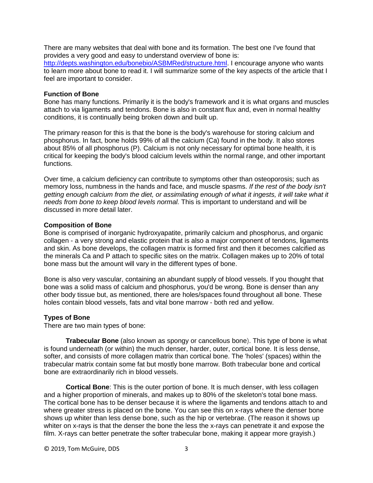There are many websites that deal with bone and its formation. The best one I've found that provides a very good and easy to understand overview of bone is: [http://depts.washington.edu/bonebio/ASBMRed/structure.html.](http://depts.washington.edu/bonebio/ASBMRed/structure.html) I encourage anyone who wants to learn more about bone to read it. I will summarize some of the key aspects of the article that I feel are important to consider.

### **Function of Bone**

Bone has many functions. Primarily it is the body's framework and it is what organs and muscles attach to via ligaments and tendons. Bone is also in constant flux and, even in normal healthy conditions, it is continually being broken down and built up.

The primary reason for this is that the bone is the body's warehouse for storing calcium and phosphorus. In fact, bone holds 99% of all the calcium (Ca) found in the body. It also stores about 85% of all phosphorus (P). Calcium is not only necessary for optimal bone health, it is critical for keeping the body's blood calcium levels within the normal range, and other important functions.

Over time, a calcium deficiency can contribute to symptoms other than osteoporosis; such as memory loss, numbness in the hands and face, and muscle spasms. *If the rest of the body isn't getting enough calcium from the diet, or assimilating enough of what it ingests, it will take what it needs from bone to keep blood levels normal.* This is important to understand and will be discussed in more detail later.

## **Composition of Bone**

Bone is comprised of inorganic hydroxyapatite, primarily calcium and phosphorus, and organic collagen - a very strong and elastic protein that is also a major component of tendons, ligaments and skin. As bone develops, the collagen matrix is formed first and then it becomes calcified as the minerals Ca and P attach to specific sites on the matrix. Collagen makes up to 20% of total bone mass but the amount will vary in the different types of bone.

Bone is also very vascular, containing an abundant supply of blood vessels. If you thought that bone was a solid mass of calcium and phosphorus, you'd be wrong. Bone is denser than any other body tissue but, as mentioned, there are holes/spaces found throughout all bone. These holes contain blood vessels, fats and vital bone marrow - both red and yellow.

## **Types of Bone**

There are two main types of bone:

**Trabecular Bone** (also known as spongy or cancellous bone). This type of bone is what is found underneath (or within) the much denser, harder, outer, cortical bone. It is less dense, softer, and consists of more collagen matrix than cortical bone. The 'holes' (spaces) within the trabecular matrix contain some fat but mostly bone marrow. Both trabecular bone and cortical bone are extraordinarily rich in blood vessels.

**Cortical Bone**: This is the outer portion of bone. It is much denser, with less collagen and a higher proportion of minerals, and makes up to 80% of the skeleton's total bone mass. The cortical bone has to be denser because it is where the ligaments and tendons attach to and where greater stress is placed on the bone. You can see this on x-rays where the denser bone shows up whiter than less dense bone, such as the hip or vertebrae. (The reason it shows up whiter on x-rays is that the denser the bone the less the x-rays can penetrate it and expose the film. X-rays can better penetrate the softer trabecular bone, making it appear more grayish.)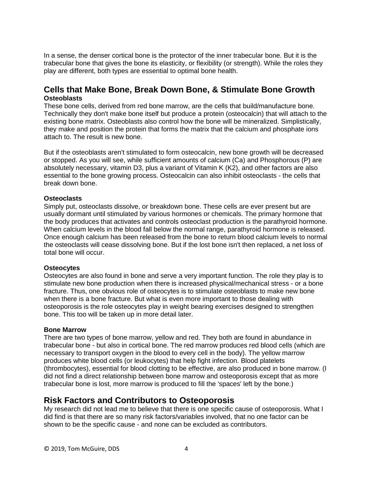In a sense, the denser cortical bone is the protector of the inner trabecular bone. But it is the trabecular bone that gives the bone its elasticity, or flexibility (or strength). While the roles they play are different, both types are essential to optimal bone health.

## **Cells that Make Bone, Break Down Bone, & Stimulate Bone Growth Osteoblasts**

These bone cells, derived from red bone marrow, are the cells that build/manufacture bone. Technically they don't make bone itself but produce a protein (osteocalcin) that will attach to the existing bone matrix. Osteoblasts also control how the bone will be mineralized. Simplistically, they make and position the protein that forms the matrix that the calcium and phosphate ions attach to. The result is new bone.

But if the osteoblasts aren't stimulated to form osteocalcin, new bone growth will be decreased or stopped. As you will see, while sufficient amounts of calcium (Ca) and Phosphorous (P) are absolutely necessary, vitamin D3, plus a variant of Vitamin K (K2), and other factors are also essential to the bone growing process. Osteocalcin can also inhibit osteoclasts - the cells that break down bone.

#### **Osteoclasts**

Simply put, osteoclasts dissolve, or breakdown bone. These cells are ever present but are usually dormant until stimulated by various hormones or chemicals. The primary hormone that the body produces that activates and controls osteoclast production is the parathyroid hormone. When calcium levels in the blood fall below the normal range, parathyroid hormone is released. Once enough calcium has been released from the bone to return blood calcium levels to normal the osteoclasts will cease dissolving bone. But if the lost bone isn't then replaced, a net loss of total bone will occur.

#### **Osteocytes**

Osteocytes are also found in bone and serve a very important function. The role they play is to stimulate new bone production when there is increased physical/mechanical stress - or a bone fracture. Thus, one obvious role of osteocytes is to stimulate osteoblasts to make new bone when there is a bone fracture. But what is even more important to those dealing with osteoporosis is the role osteocytes play in weight bearing exercises designed to strengthen bone. This too will be taken up in more detail later.

#### **Bone Marrow**

There are two types of bone marrow, yellow and red. They both are found in abundance in trabecular bone - but also in cortical bone. The red marrow produces red blood cells (which are necessary to transport oxygen in the blood to every cell in the body). The yellow marrow produces white blood cells (or leukocytes) that help fight infection. Blood platelets (thrombocytes), essential for blood clotting to be effective, are also produced in bone marrow. (I did not find a direct relationship between bone marrow and osteoporosis except that as more trabecular bone is lost, more marrow is produced to fill the 'spaces' left by the bone.)

## **Risk Factors and Contributors to Osteoporosis**

My research did not lead me to believe that there is one specific cause of osteoporosis. What I did find is that there are so many risk factors/variables involved, that no one factor can be shown to be the specific cause - and none can be excluded as contributors.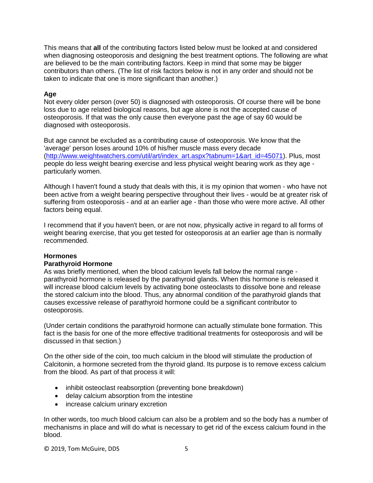This means that **all** of the contributing factors listed below must be looked at and considered when diagnosing osteoporosis and designing the best treatment options. The following are what are believed to be the main contributing factors. Keep in mind that some may be bigger contributors than others. (The list of risk factors below is not in any order and should not be taken to indicate that one is more significant than another.)

## **Age**

Not every older person (over 50) is diagnosed with osteoporosis. Of course there will be bone loss due to age related biological reasons, but age alone is not the accepted cause of osteoporosis. If that was the only cause then everyone past the age of say 60 would be diagnosed with osteoporosis.

But age cannot be excluded as a contributing cause of osteoporosis. We know that the 'average' person loses around 10% of his/her muscle mass every decade [\(http://www.weightwatchers.com/util/art/index\\_art.aspx?tabnum=1&art\\_id=45071\)](http://www.weightwatchers.com/util/art/index_art.aspx?tabnum=1&art_id=45071). Plus, most people do less weight bearing exercise and less physical weight bearing work as they age particularly women.

Although I haven't found a study that deals with this, it is my opinion that women - who have not been active from a weight bearing perspective throughout their lives - would be at greater risk of suffering from osteoporosis - and at an earlier age - than those who were more active. All other factors being equal.

I recommend that if you haven't been, or are not now, physically active in regard to all forms of weight bearing exercise, that you get tested for osteoporosis at an earlier age than is normally recommended.

## **Hormones**

## **Parathyroid Hormone**

As was briefly mentioned, when the blood calcium levels fall below the normal range parathyroid hormone is released by the parathyroid glands. When this hormone is released it will increase blood calcium levels by activating bone osteoclasts to dissolve bone and release the stored calcium into the blood. Thus, any abnormal condition of the parathyroid glands that causes excessive release of parathyroid hormone could be a significant contributor to osteoporosis.

(Under certain conditions the parathyroid hormone can actually stimulate bone formation. This fact is the basis for one of the more effective traditional treatments for osteoporosis and will be discussed in that section.)

On the other side of the coin, too much calcium in the blood will stimulate the production of Calcitonin, a hormone secreted from the thyroid gland. Its purpose is to remove excess calcium from the blood. As part of that process it will:

- inhibit osteoclast reabsorption (preventing bone breakdown)
- delay calcium absorption from the intestine
- increase calcium urinary excretion

In other words, too much blood calcium can also be a problem and so the body has a number of mechanisms in place and will do what is necessary to get rid of the excess calcium found in the blood.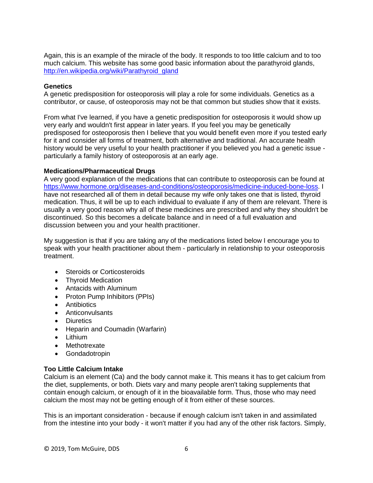Again, this is an example of the miracle of the body. It responds to too little calcium and to too much calcium. This website has some good basic information about the parathyroid glands, [http://en.wikipedia.org/wiki/Parathyroid\\_gland](http://en.wikipedia.org/wiki/Parathyroid_gland)

### **Genetics**

A genetic predisposition for osteoporosis will play a role for some individuals. Genetics as a contributor, or cause, of osteoporosis may not be that common but studies show that it exists.

From what I've learned, if you have a genetic predisposition for osteoporosis it would show up very early and wouldn't first appear in later years. If you feel you may be genetically predisposed for osteoporosis then I believe that you would benefit even more if you tested early for it and consider all forms of treatment, both alternative and traditional. An accurate health history would be very useful to your health practitioner if you believed you had a genetic issue particularly a family history of osteoporosis at an early age.

## **Medications/Pharmaceutical Drugs**

A very good explanation of the medications that can contribute to osteoporosis can be found at [https://www.hormone.org/diseases-and-conditions/osteoporosis/medicine-induced-bone-loss.](https://www.hormone.org/diseases-and-conditions/osteoporosis/medicine-induced-bone-loss) I have not researched all of them in detail because my wife only takes one that is listed, thyroid medication. Thus, it will be up to each individual to evaluate if any of them are relevant. There is usually a very good reason why all of these medicines are prescribed and why they shouldn't be discontinued. So this becomes a delicate balance and in need of a full evaluation and discussion between you and your health practitioner.

My suggestion is that if you are taking any of the medications listed below I encourage you to speak with your health practitioner about them - particularly in relationship to your osteoporosis treatment.

- Steroids or Corticosteroids
- Thyroid Medication
- Antacids with Aluminum
- Proton Pump Inhibitors (PPIs)
- Antibiotics
- Anticonvulsants
- Diuretics
- Heparin and Coumadin (Warfarin)
- Lithium
- Methotrexate
- Gondadotropin

## **Too Little Calcium Intake**

Calcium is an element (Ca) and the body cannot make it. This means it has to get calcium from the diet, supplements, or both. Diets vary and many people aren't taking supplements that contain enough calcium, or enough of it in the bioavailable form. Thus, those who may need calcium the most may not be getting enough of it from either of these sources.

This is an important consideration - because if enough calcium isn't taken in and assimilated from the intestine into your body - it won't matter if you had any of the other risk factors. Simply,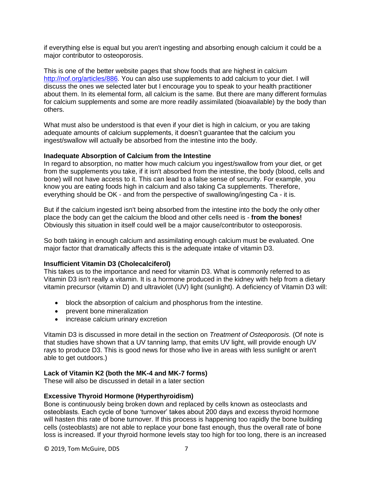if everything else is equal but you aren't ingesting and absorbing enough calcium it could be a major contributor to osteoporosis.

This is one of the better website pages that show foods that are highest in calcium [http://nof.org/articles/886.](http://nof.org/articles/886) You can also use supplements to add calcium to your diet. I will discuss the ones we selected later but I encourage you to speak to your health practitioner about them. In its elemental form, all calcium is the same. But there are many different formulas for calcium supplements and some are more readily assimilated (bioavailable) by the body than others.

What must also be understood is that even if your diet is high in calcium, or you are taking adequate amounts of calcium supplements, it doesn't guarantee that the calcium you ingest/swallow will actually be absorbed from the intestine into the body.

## **Inadequate Absorption of Calcium from the Intestine**

In regard to absorption, no matter how much calcium you ingest/swallow from your diet, or get from the supplements you take, if it isn't absorbed from the intestine, the body (blood, cells and bone) will not have access to it. This can lead to a false sense of security. For example, you know you are eating foods high in calcium and also taking Ca supplements. Therefore, everything should be OK - and from the perspective of swallowing/ingesting Ca - it is.

But if the calcium ingested isn't being absorbed from the intestine into the body the only other place the body can get the calcium the blood and other cells need is - **from the bones!** Obviously this situation in itself could well be a major cause/contributor to osteoporosis.

So both taking in enough calcium and assimilating enough calcium must be evaluated. One major factor that dramatically affects this is the adequate intake of vitamin D3.

## **Insufficient Vitamin D3 (Cholecalciferol)**

This takes us to the importance and need for vitamin D3. What is commonly referred to as Vitamin D3 isn't really a vitamin. It is a hormone produced in the kidney with help from a dietary vitamin precursor (vitamin D) and ultraviolet (UV) light (sunlight). A deficiency of Vitamin D3 will:

- block the absorption of calcium and phosphorus from the intestine.
- prevent bone mineralization
- increase calcium urinary excretion

Vitamin D3 is discussed in more detail in the section on *Treatment of Osteoporosis.* (Of note is that studies have shown that a UV tanning lamp, that emits UV light, will provide enough UV rays to produce D3. This is good news for those who live in areas with less sunlight or aren't able to get outdoors.)

## **Lack of Vitamin K2 (both the MK-4 and MK-7 forms)**

These will also be discussed in detail in a later section

#### **Excessive Thyroid Hormone (Hyperthyroidism)**

Bone is continuously being broken down and replaced by cells known as osteoclasts and osteoblasts. Each cycle of bone 'turnover' takes about 200 days and excess thyroid hormone will hasten this rate of bone turnover. If this process is happening too rapidly the bone building cells (osteoblasts) are not able to replace your bone fast enough, thus the overall rate of bone loss is increased. If your thyroid hormone levels stay too high for too long, there is an increased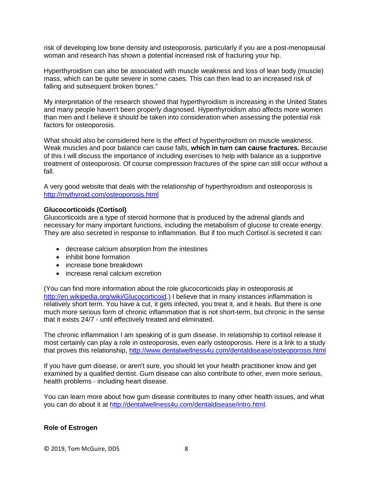risk of developing low bone density and osteoporosis, particularly if you are a post-menopausal woman and research has shown a potential increased risk of fracturing your hip.

Hyperthyroidism can also be associated with muscle weakness and loss of lean body (muscle) mass, which can be quite severe in some cases. This can then lead to an increased risk of falling and subsequent broken bones."

My interpretation of the research showed that hyperthyroidism is increasing in the United States and many people haven't been properly diagnosed. Hyperthyroidism also affects more women than men and I believe it should be taken into consideration when assessing the potential risk factors for osteoporosis.

What should also be considered here is the effect of hyperthyroidism on muscle weakness. Weak muscles and poor balance can cause falls, **which in turn can cause fractures.** Because of this I will discuss the importance of including exercises to help with balance as a supportive treatment of osteoporosis. Of course compression fractures of the spine can still occur without a fall.

A very good website that deals with the relationship of hyperthyroidism and osteoporosis is <http://mythyroid.com/osteoporosis.html>

## **Glucocorticoids (Cortisol)**

Gluocorticoids are a type of steroid hormone that is produced by the adrenal glands and necessary for many important functions, including the metabolism of glucose to create energy. They are also secreted in response to inflammation. But if too much Cortisol is secreted it can:

- decrease calcium absorption from the intestines
- inhibit bone formation
- increase bone breakdown
- increase renal calcium excretion

(You can find more information about the role glucocorticoids play in osteoporosis at [http://en.wikipedia.org/wiki/Glucocorticoid.](http://en.wikipedia.org/wiki/Glucocorticoid)) I believe that in many instances inflammation is relatively short term. You have a cut, it gets infected, you treat it, and it heals. But there is one much more serious form of chronic inflammation that is not short-term, but chronic in the sense that it exists 24/7 - until effectively treated and eliminated.

The chronic inflammation I am speaking of is gum disease. In relationship to cortisol release it most certainly can play a role in osteoporosis, even early osteoporosis. Here is a link to a study that proves this relationship,<http://www.dentalwellness4u.com/dentaldisease/osteoporosis.html>

If you have gum disease, or aren't sure, you should let your health practitioner know and get examined by a qualified dentist. Gum disease can also contribute to other, even more serious, health problems - including heart disease.

You can learn more about how gum disease contributes to many other health issues, and what you can do about it at [http://dentalwellness4u.com/dentaldisease/intro.html.](http://dentalwellness4u.com/dentaldisease/intro.html)

#### **Role of Estrogen**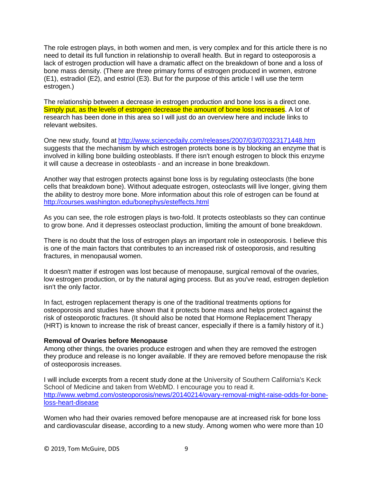The role estrogen plays, in both women and men, is very complex and for this article there is no need to detail its full function in relationship to overall health. But in regard to osteoporosis a lack of estrogen production will have a dramatic affect on the breakdown of bone and a loss of bone mass density. (There are three primary forms of estrogen produced in women, estrone (E1), estradiol (E2), and estriol (E3). But for the purpose of this article I will use the term estrogen.)

The relationship between a decrease in estrogen production and bone loss is a direct one. Simply put, as the levels of estrogen decrease the amount of bone loss increases. A lot of research has been done in this area so I will just do an overview here and include links to relevant websites.

One new study, found at<http://www.sciencedaily.com/releases/2007/03/070323171448.htm> suggests that the mechanism by which estrogen protects bone is by blocking an enzyme that is involved in killing bone building osteoblasts. If there isn't enough estrogen to block this enzyme it will cause a decrease in osteoblasts - and an increase in bone breakdown.

Another way that estrogen protects against bone loss is by regulating osteoclasts (the bone cells that breakdown bone). Without adequate estrogen, osteoclasts will live longer, giving them the ability to destroy more bone. More information about this role of estrogen can be found at <http://courses.washington.edu/bonephys/esteffects.html>

As you can see, the role estrogen plays is two-fold. It protects osteoblasts so they can continue to grow bone. And it depresses osteoclast production, limiting the amount of bone breakdown.

There is no doubt that the loss of estrogen plays an important role in osteoporosis. I believe this is one of the main factors that contributes to an increased risk of osteoporosis, and resulting fractures, in menopausal women.

It doesn't matter if estrogen was lost because of menopause, surgical removal of the ovaries, low estrogen production, or by the natural aging process. But as you've read, estrogen depletion isn't the only factor.

In fact, estrogen replacement therapy is one of the traditional treatments options for osteoporosis and studies have shown that it protects bone mass and helps protect against the risk of osteoporotic fractures. (It should also be noted that Hormone Replacement Therapy (HRT) is known to increase the risk of breast cancer, especially if there is a family history of it.)

#### **Removal of Ovaries before Menopause**

Among other things, the ovaries produce estrogen and when they are removed the estrogen they produce and release is no longer available. If they are removed before menopause the risk of osteoporosis increases.

I will include excerpts from a recent study done at the University of Southern California's Keck School of Medicine and taken from WebMD. I encourage you to read it. [http://www.webmd.com/osteoporosis/news/20140214/ovary-removal-might-raise-odds-for-bone](http://www.webmd.com/osteoporosis/news/20140214/ovary-removal-might-raise-odds-for-bone-loss-heart-disease)[loss-heart-disease](http://www.webmd.com/osteoporosis/news/20140214/ovary-removal-might-raise-odds-for-bone-loss-heart-disease)

Women who had their ovaries removed before menopause are at increased risk for bone loss and cardiovascular disease, according to a new study. Among women who were more than 10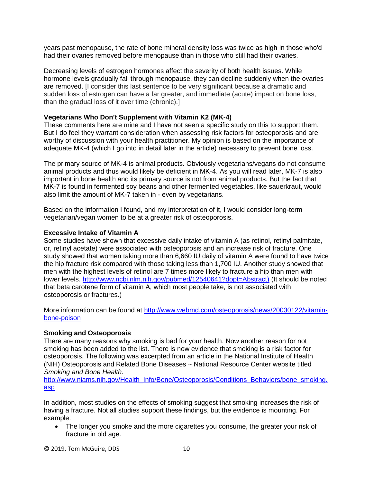years past menopause, the rate of bone mineral density loss was twice as high in those who'd had their ovaries removed before menopause than in those who still had their ovaries.

Decreasing levels of estrogen hormones affect the severity of both health issues. While hormone levels gradually fall through menopause, they can decline suddenly when the ovaries are removed. [I consider this last sentence to be very significant because a dramatic and sudden loss of estrogen can have a far greater, and immediate (acute) impact on bone loss, than the gradual loss of it over time (chronic).]

## **Vegetarians Who Don't Supplement with Vitamin K2 (MK-4)**

These comments here are mine and I have not seen a specific study on this to support them. But I do feel they warrant consideration when assessing risk factors for osteoporosis and are worthy of discussion with your health practitioner. My opinion is based on the importance of adequate MK-4 (which I go into in detail later in the article) necessary to prevent bone loss.

The primary source of MK-4 is animal products. Obviously vegetarians/vegans do not consume animal products and thus would likely be deficient in MK-4. As you will read later, MK-7 is also important in bone health and its primary source is not from animal products. But the fact that MK-7 is found in fermented soy beans and other fermented vegetables, like sauerkraut, would also limit the amount of MK-7 taken in - even by vegetarians.

Based on the information I found, and my interpretation of it, I would consider long-term vegetarian/vegan women to be at a greater risk of osteoporosis.

#### **Excessive Intake of Vitamin A**

Some studies have shown that excessive daily intake of vitamin A (as retinol, retinyl palmitate, or, retinyl acetate) were associated with osteoporosis and an increase risk of fracture. One study showed that women taking more than 6,660 IU daily of vitamin A were found to have twice the hip fracture risk compared with those taking less than 1,700 IU. Another study showed that men with the highest levels of retinol are 7 times more likely to fracture a hip than men with lower levels. [http://www.ncbi.nlm.nih.gov/pubmed/12540641?dopt=Abstract\)](http://www.ncbi.nlm.nih.gov/pubmed/12540641?dopt=Abstract)) (It should be noted that beta carotene form of vitamin A, which most people take, is not associated with osteoporosis or fractures.)

More information can be found at [http://www.webmd.com/osteoporosis/news/20030122/vitamin](http://www.webmd.com/osteoporosis/news/20030122/vitamin-bone-poison)[bone-poison](http://www.webmd.com/osteoporosis/news/20030122/vitamin-bone-poison)

#### **Smoking and Osteoporosis**

There are many reasons why smoking is bad for your health. Now another reason for not smoking has been added to the list. There is now evidence that smoking is a risk factor for osteoporosis. The following was excerpted from an article in the National Institute of Health (NIH) Osteoporosis and Related Bone Diseases ~ National Resource Center website titled *Smoking and Bone Health*.

[http://www.niams.nih.gov/Health\\_Info/Bone/Osteoporosis/Conditions\\_Behaviors/bone\\_smoking.](http://www.niams.nih.gov/Health_Info/Bone/Osteoporosis/Conditions_Behaviors/bone_smoking.asp) [asp](http://www.niams.nih.gov/Health_Info/Bone/Osteoporosis/Conditions_Behaviors/bone_smoking.asp)

In addition, most studies on the effects of smoking suggest that smoking increases the risk of having a fracture. Not all studies support these findings, but the evidence is mounting. For example:

 The longer you smoke and the more cigarettes you consume, the greater your risk of fracture in old age.

© 2019, Tom McGuire, DDS 10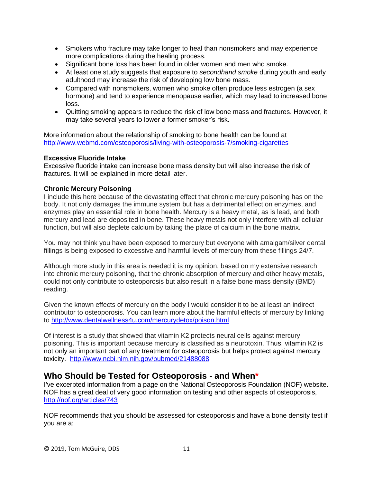- Smokers who fracture may take longer to heal than nonsmokers and may experience more complications during the healing process.
- Significant bone loss has been found in older women and men who smoke.
- At least one study suggests that exposure to *secondhand smoke* during youth and early adulthood may increase the risk of developing low bone mass.
- Compared with nonsmokers, women who smoke often produce less estrogen (a sex hormone) and tend to experience menopause earlier, which may lead to increased bone loss.
- Quitting smoking appears to reduce the risk of low bone mass and fractures. However, it may take several years to lower a former smoker's risk.

More information about the relationship of smoking to bone health can be found at <http://www.webmd.com/osteoporosis/living-with-osteoporosis-7/smoking-cigarettes>

## **Excessive Fluoride Intake**

Excessive fluoride intake can increase bone mass density but will also increase the risk of fractures. It will be explained in more detail later.

## **Chronic Mercury Poisoning**

I include this here because of the devastating effect that chronic mercury poisoning has on the body. It not only damages the immune system but has a detrimental effect on enzymes, and enzymes play an essential role in bone health. Mercury is a heavy metal, as is lead, and both mercury and lead are deposited in bone. These heavy metals not only interfere with all cellular function, but will also deplete calcium by taking the place of calcium in the bone matrix.

You may not think you have been exposed to mercury but everyone with amalgam/silver dental fillings is being exposed to excessive and harmful levels of mercury from these fillings 24/7.

Although more study in this area is needed it is my opinion, based on my extensive research into chronic mercury poisoning, that the chronic absorption of mercury and other heavy metals, could not only contribute to osteoporosis but also result in a false bone mass density (BMD) reading.

Given the known effects of mercury on the body I would consider it to be at least an indirect contributor to osteoporosis. You can learn more about the harmful effects of mercury by linking to<http://www.dentalwellness4u.com/mercurydetox/poison.html>

Of interest is a study that showed that vitamin K2 protects neural cells against mercury poisoning. This is important because mercury is classified as a neurotoxin. Thus, vitamin K2 is not only an important part of any treatment for osteoporosis but helps protect against mercury toxicity. <http://www.ncbi.nlm.nih.gov/pubmed/21488088>

## **Who Should be Tested for Osteoporosis - and When\***

I've excerpted information from a page on the National Osteoporosis Foundation (NOF) website. NOF has a great deal of very good information on testing and other aspects of osteoporosis, <http://nof.org/articles/743>

NOF recommends that you should be assessed for osteoporosis and have a bone density test if you are a: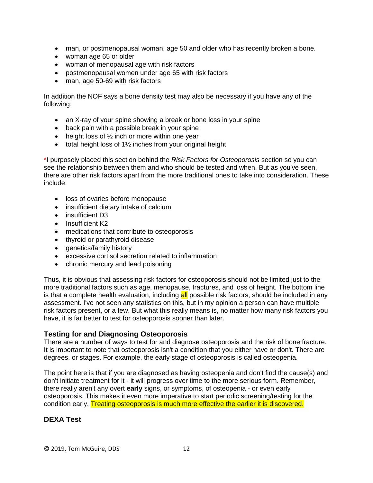- man, or postmenopausal woman, age 50 and older who has recently broken a bone.
- woman age 65 or older
- woman of menopausal age with risk factors
- postmenopausal women under age 65 with risk factors
- man, age 50-69 with risk factors

In addition the NOF says a bone density test may also be necessary if you have any of the following:

- an X-ray of your spine showing a break or bone loss in your spine
- back pain with a possible break in your spine
- $\bullet$  height loss of  $\frac{1}{2}$  inch or more within one year
- $\bullet$  total height loss of 1 $\frac{1}{2}$  inches from your original height

\*I purposely placed this section behind the *Risk Factors for Osteoporosis* section so you can see the relationship between them and who should be tested and when. But as you've seen, there are other risk factors apart from the more traditional ones to take into consideration. These include:

- loss of ovaries before menopause
- insufficient dietary intake of calcium
- insufficient D3
- Insufficient K2
- medications that contribute to osteoporosis
- thyroid or parathyroid disease
- genetics/family history
- excessive cortisol secretion related to inflammation
- chronic mercury and lead poisoning

Thus, it is obvious that assessing risk factors for osteoporosis should not be limited just to the more traditional factors such as age, menopause, fractures, and loss of height. The bottom line is that a complete health evaluation, including all possible risk factors, should be included in any assessment. I've not seen any statistics on this, but in my opinion a person can have multiple risk factors present, or a few. But what this really means is, no matter how many risk factors you have, it is far better to test for osteoporosis sooner than later.

## **Testing for and Diagnosing Osteoporosis**

There are a number of ways to test for and diagnose osteoporosis and the risk of bone fracture. It is important to note that osteoporosis isn't a condition that you either have or don't. There are degrees, or stages. For example, the early stage of osteoporosis is called osteopenia.

The point here is that if you are diagnosed as having osteopenia and don't find the cause(s) and don't initiate treatment for it - it will progress over time to the more serious form. Remember, there really aren't any overt **early** signs, or symptoms, of osteopenia - or even early osteoporosis. This makes it even more imperative to start periodic screening/testing for the condition early. Treating osteoporosis is much more effective the earlier it is discovered.

## **DEXA Test**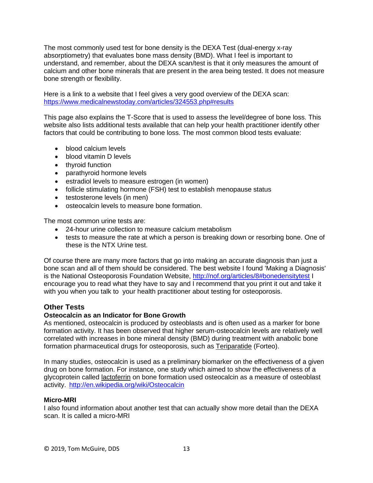The most commonly used test for bone density is the DEXA Test (dual-energy x-ray absorptiometry) that evaluates bone mass density (BMD). What I feel is important to understand, and remember, about the DEXA scan/test is that it only measures the amount of calcium and other bone minerals that are present in the area being tested. It does not measure bone strength or flexibility.

Here is a link to a website that I feel gives a very good overview of the DEXA scan: <https://www.medicalnewstoday.com/articles/324553.php#results>

This page also explains the T-Score that is used to assess the level/degree of bone loss. This website also lists additional tests available that can help your health practitioner identify other factors that could be contributing to bone loss. The most common blood tests evaluate:

- blood calcium levels
- blood vitamin D levels
- thyroid function
- parathyroid hormone levels
- **e** estradiol levels to measure estrogen (in women)
- follicle stimulating hormone (FSH) test to establish menopause status
- testosterone levels (in men)
- osteocalcin levels to measure bone formation.

The most common urine tests are:

- 24-hour urine collection to measure calcium metabolism
- tests to measure the rate at which a person is breaking down or resorbing bone. One of these is the NTX Urine test.

Of course there are many more factors that go into making an accurate diagnosis than just a bone scan and all of them should be considered. The best website I found 'Making a Diagnosis' is the National Osteoporosis Foundation Website,<http://nof.org/articles/8#bonedensitytest> I encourage you to read what they have to say and I recommend that you print it out and take it with you when you talk to your health practitioner about testing for osteoporosis.

## **Other Tests**

## **Osteocalcin as an Indicator for Bone Growth**

As mentioned, osteocalcin is produced by osteoblasts and is often used as a marker for bone formation activity. It has been observed that higher serum-osteocalcin levels are relatively well correlated with increases in bone mineral density (BMD) during treatment with anabolic bone formation pharmaceutical drugs for osteoporosis, such as [Teriparatide](http://en.wikipedia.org/wiki/Teriparatide) (Forteo).

In many studies, osteocalcin is used as a preliminary biomarker on the effectiveness of a given drug on bone formation. For instance, one study which aimed to show the effectiveness of a glycoprotein called [lactoferrin](http://en.wikipedia.org/wiki/Lactoferrin) on bone formation used osteocalcin as a measure of osteoblast activity. <http://en.wikipedia.org/wiki/Osteocalcin>

## **Micro-MRI**

I also found information about another test that can actually show more detail than the DEXA scan. It is called a micro-MRI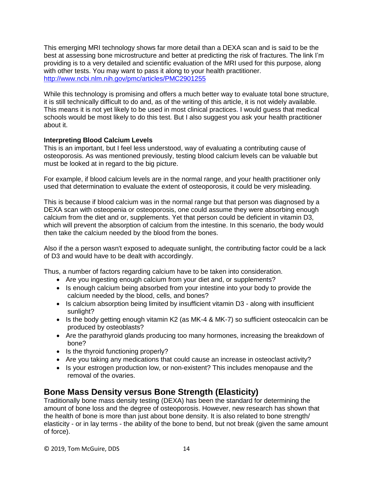This emerging MRI technology shows far more detail than a DEXA scan and is said to be the best at assessing bone microstructure and better at predicting the risk of fractures. The link I'm providing is to a very detailed and scientific evaluation of the MRI used for this purpose, along with other tests. You may want to pass it along to your health practitioner. <http://www.ncbi.nlm.nih.gov/pmc/articles/PMC2901255>

While this technology is promising and offers a much better way to evaluate total bone structure, it is still technically difficult to do and, as of the writing of this article, it is not widely available. This means it is not yet likely to be used in most clinical practices. I would guess that medical schools would be most likely to do this test. But I also suggest you ask your health practitioner about it.

## **Interpreting Blood Calcium Levels**

This is an important, but I feel less understood, way of evaluating a contributing cause of osteoporosis. As was mentioned previously, testing blood calcium levels can be valuable but must be looked at in regard to the big picture.

For example, if blood calcium levels are in the normal range, and your health practitioner only used that determination to evaluate the extent of osteoporosis, it could be very misleading.

This is because if blood calcium was in the normal range but that person was diagnosed by a DEXA scan with osteopenia or osteoporosis, one could assume they were absorbing enough calcium from the diet and or, supplements. Yet that person could be deficient in vitamin D3, which will prevent the absorption of calcium from the intestine. In this scenario, the body would then take the calcium needed by the blood from the bones.

Also if the a person wasn't exposed to adequate sunlight, the contributing factor could be a lack of D3 and would have to be dealt with accordingly.

Thus, a number of factors regarding calcium have to be taken into consideration.

- Are you ingesting enough calcium from your diet and, or supplements?
- Is enough calcium being absorbed from your intestine into your body to provide the calcium needed by the blood, cells, and bones?
- Is calcium absorption being limited by insufficient vitamin D3 along with insufficient sunlight?
- Is the body getting enough vitamin K2 (as MK-4 & MK-7) so sufficient osteocalcin can be produced by osteoblasts?
- Are the parathyroid glands producing too many hormones, increasing the breakdown of bone?
- Is the thyroid functioning properly?
- Are you taking any medications that could cause an increase in osteoclast activity?
- Is your estrogen production low, or non-existent? This includes menopause and the removal of the ovaries.

# **Bone Mass Density versus Bone Strength (Elasticity)**

Traditionally bone mass density testing (DEXA) has been the standard for determining the amount of bone loss and the degree of osteoporosis. However, new research has shown that the health of bone is more than just about bone density. It is also related to bone strength/ elasticity - or in lay terms - the ability of the bone to bend, but not break (given the same amount of force).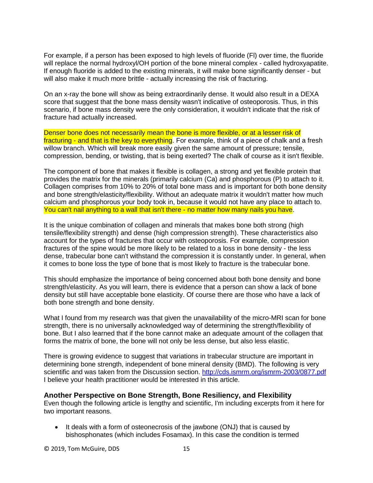For example, if a person has been exposed to high levels of fluoride (Fl) over time, the fluoride will replace the normal hydroxyl/OH portion of the bone mineral complex - called hydroxyapatite. If enough fluoride is added to the existing minerals, it will make bone significantly denser - but will also make it much more brittle - actually increasing the risk of fracturing.

On an x-ray the bone will show as being extraordinarily dense. It would also result in a DEXA score that suggest that the bone mass density wasn't indicative of osteoporosis. Thus, in this scenario, if bone mass density were the only consideration, it wouldn't indicate that the risk of fracture had actually increased.

Denser bone does not necessarily mean the bone is more flexible, or at a lesser risk of fracturing - and that is the key to everything. For example, think of a piece of chalk and a fresh willow branch. Which will break more easily given the same amount of pressure; tensile, compression, bending, or twisting, that is being exerted? The chalk of course as it isn't flexible.

The component of bone that makes it flexible is collagen, a strong and yet flexible protein that provides the matrix for the minerals (primarily calcium (Ca) and phosphorous (P) to attach to it. Collagen comprises from 10% to 20% of total bone mass and is important for both bone density and bone strength/elasticity/flexibility. Without an adequate matrix it wouldn't matter how much calcium and phosphorous your body took in, because it would not have any place to attach to. You can't nail anything to a wall that isn't there - no matter how many nails you have.

It is the unique combination of collagen and minerals that makes bone both strong (high tensile/flexibility strength) and dense (high compression strength). These characteristics also account for the types of fractures that occur with osteoporosis. For example, compression fractures of the spine would be more likely to be related to a loss in bone density - the less dense, trabecular bone can't withstand the compression it is constantly under. In general, when it comes to bone loss the type of bone that is most likely to fracture is the trabecular bone.

This should emphasize the importance of being concerned about both bone density and bone strength/elasticity. As you will learn, there is evidence that a person can show a lack of bone density but still have acceptable bone elasticity. Of course there are those who have a lack of both bone strength and bone density.

What I found from my research was that given the unavailability of the micro-MRI scan for bone strength, there is no universally acknowledged way of determining the strength/flexibility of bone. But I also learned that if the bone cannot make an adequate amount of the collagen that forms the matrix of bone, the bone will not only be less dense, but also less elastic.

There is growing evidence to suggest that variations in trabecular structure are important in determining bone strength, independent of bone mineral density (BMD). The following is very scientific and was taken from the Discussion section.<http://cds.ismrm.org/ismrm-2003/0877.pdf> I believe your health practitioner would be interested in this article.

## **Another Perspective on Bone Strength, Bone Resiliency, and Flexibility**

Even though the following article is lengthy and scientific, I'm including excerpts from it here for two important reasons.

• It deals with a form of osteonecrosis of the jawbone (ONJ) that is caused by bishosphonates (which includes Fosamax). In this case the condition is termed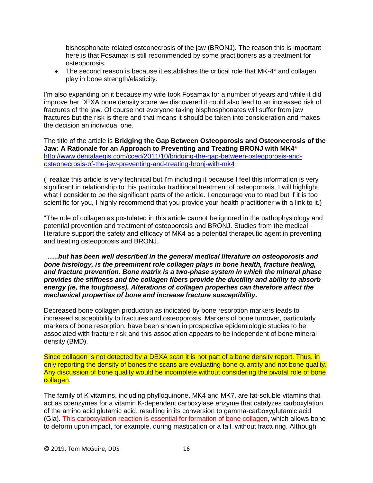bishosphonate-related osteonecrosis of the jaw (BRONJ). The reason this is important here is that Fosamax is still recommended by some practitioners as a treatment for osteoporosis.

• The second reason is because it establishes the critical role that MK-4<sup>\*</sup> and collagen play in bone strength/elasticity.

I'm also expanding on it because my wife took Fosamax for a number of years and while it did improve her DEXA bone density score we discovered it could also lead to an increased risk of fractures of the jaw. Of course not everyone taking bisphosphonates will suffer from jaw fractures but the risk is there and that means it should be taken into consideration and makes the decision an individual one.

The title of the article is **Bridging the Gap Between Osteoporosis and Osteonecrosis of the Jaw: A Rationale for an Approach to Preventing and Treating BRONJ with MK4\*** [http://www.dentalaegis.com/cced/2011/10/bridging-the-gap-between-osteoporosis-and](http://www.dentalaegis.com/cced/2011/10/bridging-the-gap-between-osteoporosis-and-osteonecrosis-of-the-jaw-preventing-and-treating-bronj-with-mk4)[osteonecrosis-of-the-jaw-preventing-and-treating-bronj-with-mk4](http://www.dentalaegis.com/cced/2011/10/bridging-the-gap-between-osteoporosis-and-osteonecrosis-of-the-jaw-preventing-and-treating-bronj-with-mk4)

(I realize this article is very technical but I'm including it because I feel this information is very significant in relationship to this particular traditional treatment of osteoporosis. I will highlight what I consider to be the significant parts of the article. I encourage you to read but if it is too scientific for you, I highly recommend that you provide your health practitioner with a link to it.)

"The role of collagen as postulated in this article cannot be ignored in the pathophysiology and potential prevention and treatment of osteoporosis and BRONJ. Studies from the medical literature support the safety and efficacy of MK4 as a potential therapeutic agent in preventing and treating osteoporosis and BRONJ.

*…..but has been well described in the general medical literature on osteoporosis and bone histology, is the preeminent role collagen plays in bone health, fracture healing, and fracture prevention. Bone matrix is a two-phase system in which the mineral phase provides the stiffness and the collagen fibers provide the ductility and ability to absorb energy (ie, the toughness). Alterations of collagen properties can therefore affect the mechanical properties of bone and increase fracture susceptibility.*

Decreased bone collagen production as indicated by bone resorption markers leads to increased susceptibility to fractures and osteoporosis. Markers of bone turnover, particularly markers of bone resorption, have been shown in prospective epidemiologic studies to be associated with fracture risk and this association appears to be independent of bone mineral density (BMD).

Since collagen is not detected by a DEXA scan it is not part of a bone density report. Thus, in only reporting the density of bones the scans are evaluating bone quantity and not bone quality. Any discussion of bone quality would be incomplete without considering the pivotal role of bone collagen.

The family of K vitamins, including phylloquinone, MK4 and MK7, are fat-soluble vitamins that act as coenzymes for a vitamin K-dependent carboxylase enzyme that catalyzes carboxylation of the amino acid glutamic acid, resulting in its conversion to gamma-carboxyglutamic acid (Gla). This carboxylation reaction is essential for formation of bone collagen, which allows bone to deform upon impact, for example, during mastication or a fall, without fracturing. Although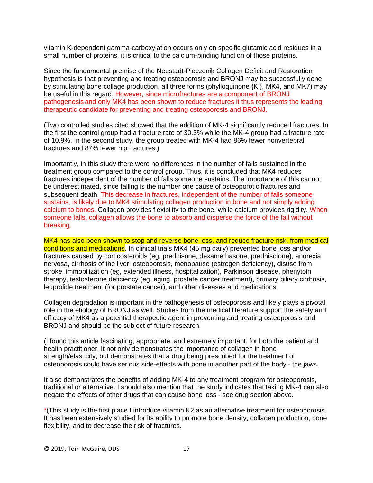vitamin K-dependent gamma-carboxylation occurs only on specific glutamic acid residues in a small number of proteins, it is critical to the calcium-binding function of those proteins.

Since the fundamental premise of the Neustadt-Pieczenik Collagen Deficit and Restoration hypothesis is that preventing and treating osteoporosis and BRONJ may be successfully done by stimulating bone collage production, all three forms (phylloquinone {KI}, MK4, and MK7) may be useful in this regard. However, since microfractures are a component of BRONJ pathogenesis and only MK4 has been shown to reduce fractures it thus represents the leading therapeutic candidate for preventing and treating osteoporosis and BRONJ.

(Two controlled studies cited showed that the addition of MK-4 significantly reduced fractures. In the first the control group had a fracture rate of 30.3% while the MK-4 group had a fracture rate of 10.9%. In the second study, the group treated with MK-4 had 86% fewer nonvertebral fractures and 87% fewer hip fractures.)

Importantly, in this study there were no differences in the number of falls sustained in the treatment group compared to the control group. Thus, it is concluded that MK4 reduces fractures independent of the number of falls someone sustains. The importance of this cannot be underestimated, since falling is the number one cause of osteoporotic fractures and subsequent death. This decrease in fractures, independent of the number of falls someone sustains, is likely due to MK4 stimulating collagen production in bone and not simply adding calcium to bones. Collagen provides flexibility to the bone, while calcium provides rigidity. When someone falls, collagen allows the bone to absorb and disperse the force of the fall without breaking.

MK4 has also been shown to stop and reverse bone loss, and reduce fracture risk, from medical conditions and medications. In clinical trials MK4 (45 mg daily) prevented bone loss and/or fractures caused by corticosteroids (eg, prednisone, dexamethasone, prednisolone), anorexia nervosa, cirrhosis of the liver, osteoporosis, menopause (estrogen deficiency), disuse from stroke, immobilization (eg, extended illness, hospitalization), Parkinson disease, phenytoin therapy, testosterone deficiency (eg, aging, prostate cancer treatment), primary biliary cirrhosis, leuprolide treatment (for prostate cancer), and other diseases and medications.

Collagen degradation is important in the pathogenesis of osteoporosis and likely plays a pivotal role in the etiology of BRONJ as well. Studies from the medical literature support the safety and efficacy of MK4 as a potential therapeutic agent in preventing and treating osteoporosis and BRONJ and should be the subject of future research.

(I found this article fascinating, appropriate, and extremely important, for both the patient and health practitioner. It not only demonstrates the importance of collagen in bone strength/elasticity, but demonstrates that a drug being prescribed for the treatment of osteoporosis could have serious side-effects with bone in another part of the body - the jaws.

It also demonstrates the benefits of adding MK-4 to any treatment program for osteoporosis, traditional or alternative. I should also mention that the study indicates that taking MK-4 can also negate the effects of other drugs that can cause bone loss - see drug section above.

\*(This study is the first place I introduce vitamin K2 as an alternative treatment for osteoporosis. It has been extensively studied for its ability to promote bone density, collagen production, bone flexibility, and to decrease the risk of fractures.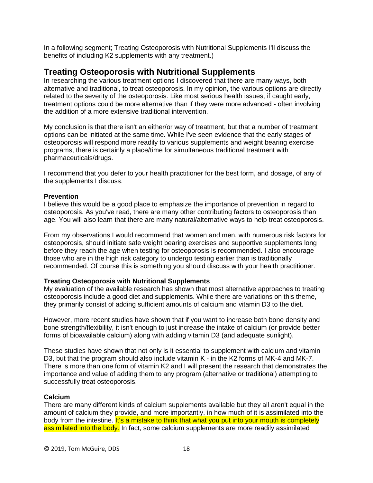In a following segment; Treating Osteoporosis with Nutritional Supplements I'll discuss the benefits of including K2 supplements with any treatment.)

## **Treating Osteoporosis with Nutritional Supplements**

In researching the various treatment options I discovered that there are many ways, both alternative and traditional, to treat osteoporosis. In my opinion, the various options are directly related to the severity of the osteoporosis. Like most serious health issues, if caught early, treatment options could be more alternative than if they were more advanced - often involving the addition of a more extensive traditional intervention.

My conclusion is that there isn't an either/or way of treatment, but that a number of treatment options can be initiated at the same time. While I've seen evidence that the early stages of osteoporosis will respond more readily to various supplements and weight bearing exercise programs, there is certainly a place/time for simultaneous traditional treatment with pharmaceuticals/drugs.

I recommend that you defer to your health practitioner for the best form, and dosage, of any of the supplements I discuss.

## **Prevention**

I believe this would be a good place to emphasize the importance of prevention in regard to osteoporosis. As you've read, there are many other contributing factors to osteoporosis than age. You will also learn that there are many natural/alternative ways to help treat osteoporosis.

From my observations I would recommend that women and men, with numerous risk factors for osteoporosis, should initiate safe weight bearing exercises and supportive supplements long before they reach the age when testing for osteoporosis is recommended. I also encourage those who are in the high risk category to undergo testing earlier than is traditionally recommended. Of course this is something you should discuss with your health practitioner.

#### **Treating Osteoporosis with Nutritional Supplements**

My evaluation of the available research has shown that most alternative approaches to treating osteoporosis include a good diet and supplements. While there are variations on this theme, they primarily consist of adding sufficient amounts of calcium and vitamin D3 to the diet.

However, more recent studies have shown that if you want to increase both bone density and bone strength/flexibility, it isn't enough to just increase the intake of calcium (or provide better forms of bioavailable calcium) along with adding vitamin D3 (and adequate sunlight).

These studies have shown that not only is it essential to supplement with calcium and vitamin D3, but that the program should also include vitamin K - in the K2 forms of MK-4 and MK-7. There is more than one form of vitamin K2 and I will present the research that demonstrates the importance and value of adding them to any program (alternative or traditional) attempting to successfully treat osteoporosis.

## **Calcium**

There are many different kinds of calcium supplements available but they all aren't equal in the amount of calcium they provide, and more importantly, in how much of it is assimilated into the body from the intestine. It's a mistake to think that what you put into your mouth is completely assimilated into the body. In fact, some calcium supplements are more readily assimilated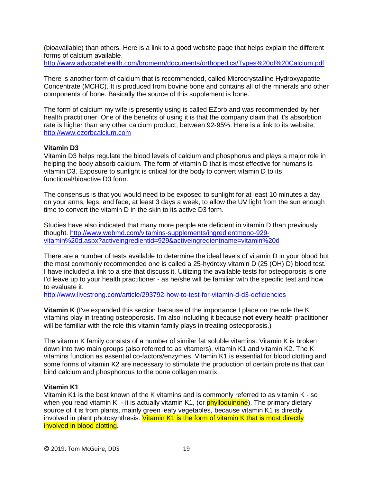(bioavailable) than others. Here is a link to a good website page that helps explain the different forms of calcium available.

<http://www.advocatehealth.com/bromenn/documents/orthopedics/Types%20of%20Calcium.pdf>

There is another form of calcium that is recommended, called Microcrystalline Hydroxyapatite Concentrate (MCHC). It is produced from bovine bone and contains all of the minerals and other components of bone. Basically the source of this supplement is bone.

The form of calcium my wife is presently using is called EZorb and was recommended by her health practitioner. One of the benefits of using it is that the company claim that it's absorbtion rate is higher than any other calcium product, between 92-95%. Here is a link to its website, [http://www.ezorbcalcium.com](http://www.ezorbcalcium.com/) 

## **Vitamin D3**

Vitamin D3 helps regulate the blood levels of calcium and phosphorus and plays a major role in helping the body absorb calcium. The form of vitamin D that is most effective for humans is vitamin D3. Exposure to sunlight is critical for the body to convert vitamin D to its functional/bioactive D3 form.

The consensus is that you would need to be exposed to sunlight for at least 10 minutes a day on your arms, legs, and face, at least 3 days a week, to allow the UV light from the sun enough time to convert the vitamin D in the skin to its active D3 form.

Studies have also indicated that many more people are deficient in vitamin D than previously thought. [http://www.webmd.com/vitamins-supplements/ingredientmono-929](http://www.webmd.com/vitamins-supplements/ingredientmono-929-vitamin%20d.aspx?activeingredientid=929&activeingredientname=vitamin%20d) [vitamin%20d.aspx?activeingredientid=929&activeingredientname=vitamin%20d](http://www.webmd.com/vitamins-supplements/ingredientmono-929-vitamin%20d.aspx?activeingredientid=929&activeingredientname=vitamin%20d)

There are a number of tests available to determine the ideal levels of vitamin D in your blood but the most commonly recommended one is called a 25-hydroxy vitamin D (25 (OH) D) blood test. I have included a link to a site that discuss it. Utilizing the available tests for osteoporosis is one I'd leave up to your health practitioner - as he/she will be familiar with the specific test and how to evaluate it.

<http://www.livestrong.com/article/293792-how-to-test-for-vitamin-d-d3-deficiencies>

**Vitamin K** (I've expanded this section because of the importance I place on the role the K vitamins play in treating osteoporosis. I'm also including it because **not every** health practitioner will be familiar with the role this vitamin family plays in treating osteoporosis.)

The vitamin K family consists of a number of similar fat soluble vitamins. Vitamin K is broken down into two main groups (also referred to as vitamers), vitamin K1 and vitamin K2. The K vitamins function as essential co-factors/enzymes. Vitamin K1 is essential for blood clotting and some forms of vitamin K2 are necessary to stimulate the production of certain proteins that can bind calcium and phosphorous to the bone collagen matrix.

## **Vitamin K1**

Vitamin K1 is the best known of the K vitamins and is commonly referred to as vitamin K - so when you read vitamin K - it is actually vitamin K1, (or  $phylloquinone$ ). The primary dietary source of it is from plants, mainly green leafy vegetables, because vitamin K1 is directly involved in plant photosynthesis. Vitamin K1 is the form of vitamin K that is most directly involved in blood clotting.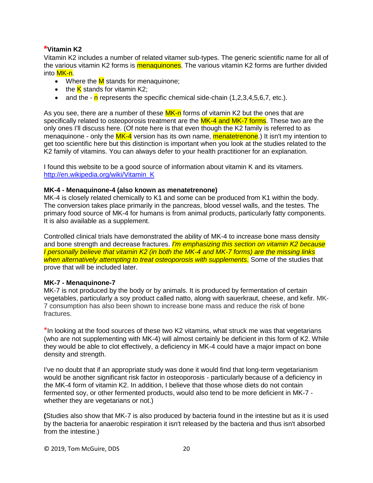## **\*Vitamin K2**

Vitamin K2 includes a number of related vitamer sub-types. The generic scientific name for all of the various vitamin K2 forms is menaquinones. The various vitamin K2 forms are further divided into <mark>MK-n</mark>.

- Where the  $M$  stands for menaquinone;
- the  $K$  stands for vitamin K2;
- and the  $\cdot$  n represents the specific chemical side-chain (1,2,3,4,5,6,7, etc.).

As you see, there are a number of these  $MK-n$  forms of vitamin K2 but the ones that are specifically related to osteoporosis treatment are the MK-4 and MK-7 forms. These two are the only ones I'll discuss here. (Of note here is that even though the K2 family is referred to as menaquinone - only the MK-4 version has its own name, menatetrenone.) It isn't my intention to get too scientific here but this distinction is important when you look at the studies related to the K2 family of vitamins. You can always defer to your health practitioner for an explanation.

I found this website to be a good source of information about vitamin K and its vitamers. [http://en.wikipedia.org/wiki/Vitamin\\_K](http://en.wikipedia.org/wiki/Vitamin_K)

## **MK-4 - Menaquinone-4 (also known as menatetrenone)**

MK-4 is closely related chemically to K1 and some can be produced from K1 within the body. The conversion takes place primarily in the pancreas, blood vessel walls, and the testes. The primary food source of MK-4 for humans is from animal products, particularly fatty components. It is also available as a supplement.

Controlled clinical trials have demonstrated the ability of MK-4 to increase bone mass density and bone strength and decrease fractures. *I'm emphasizing this section on vitamin K2 because I personally believe that vitamin K2 (in both the MK-4 and MK-7 forms) are the missing links when alternatively attempting to treat osteoporosis with supplements*. Some of the studies that prove that will be included later.

#### **MK-7 - Menaquinone-7**

MK-7 is not produced by the body or by animals. It is produced by fermentation of certain vegetables, particularly a soy product called natto, along with sauerkraut, cheese, and kefir. MK-7 consumption has also been shown to increase bone mass and reduce the risk of bone fractures.

\*In looking at the food sources of these two K2 vitamins, what struck me was that vegetarians (who are not supplementing with MK-4) will almost certainly be deficient in this form of K2. While they would be able to clot effectively, a deficiency in MK-4 could have a major impact on bone density and strength.

I've no doubt that if an appropriate study was done it would find that long-term vegetarianism would be another significant risk factor in osteoporosis - particularly because of a deficiency in the MK-4 form of vitamin K2. In addition, I believe that those whose diets do not contain fermented soy, or other fermented products, would also tend to be more deficient in MK-7 whether they are vegetarians or not.)

**(**Studies also show that MK-7 is also produced by bacteria found in the intestine but as it is used by the bacteria for anaerobic respiration it isn't released by the bacteria and thus isn't absorbed from the intestine.)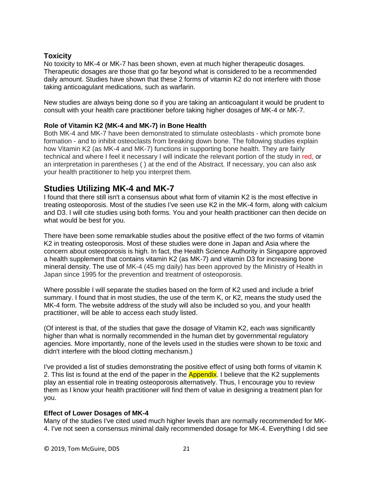## **Toxicity**

No toxicity to MK-4 or MK-7 has been shown, even at much higher therapeutic dosages. Therapeutic dosages are those that go far beyond what is considered to be a recommended daily amount. Studies have shown that these 2 forms of vitamin K2 do not interfere with those taking anticoagulant medications, such as warfarin.

New studies are always being done so if you are taking an anticoagulant it would be prudent to consult with your health care practitioner before taking higher dosages of MK-4 or MK-7.

## **Role of Vitamin K2 (MK-4 and MK-7) in Bone Health**

Both MK-4 and MK-7 have been demonstrated to stimulate osteoblasts - which promote bone formation - and to inhibit osteoclasts from breaking down bone. The following studies explain how Vitamin K2 (as MK-4 and MK-7) functions in supporting bone health. They are fairly technical and where I feel it necessary I will indicate the relevant portion of the study in red, or an interpretation in parentheses ( ) at the end of the Abstract. If necessary, you can also ask your health practitioner to help you interpret them.

# **Studies Utilizing MK-4 and MK-7**

I found that there still isn't a consensus about what form of vitamin K2 is the most effective in treating osteoporosis. Most of the studies I've seen use K2 in the MK-4 form, along with calcium and D3. I will cite studies using both forms. You and your health practitioner can then decide on what would be best for you.

There have been some remarkable studies about the positive effect of the two forms of vitamin K2 in treating osteoporosis. Most of these studies were done in Japan and Asia where the concern about osteoporosis is high. In fact, the Health Science Authority in Singapore approved a health supplement that contains vitamin K2 (as MK-7) and vitamin D3 for increasing bone mineral density. The use of MK-4 (45 mg daily) has been approved by the Ministry of Health in Japan since 1995 for the prevention and treatment of osteoporosis.

Where possible I will separate the studies based on the form of K2 used and include a brief summary. I found that in most studies, the use of the term K, or K2, means the study used the MK-4 form. The website address of the study will also be included so you, and your health practitioner, will be able to access each study listed.

(Of interest is that, of the studies that gave the dosage of Vitamin K2, each was significantly higher than what is normally recommended in the human diet by governmental regulatory agencies. More importantly, none of the levels used in the studies were shown to be toxic and didn't interfere with the blood clotting mechanism.)

I've provided a list of studies demonstrating the positive effect of using both forms of vitamin K 2. This list is found at the end of the paper in the **Appendix**. I believe that the K2 supplements play an essential role in treating osteoporosis alternatively. Thus, I encourage you to review them as I know your health practitioner will find them of value in designing a treatment plan for you.

## **Effect of Lower Dosages of MK-4**

Many of the studies I've cited used much higher levels than are normally recommended for MK-4. I've not seen a consensus minimal daily recommended dosage for MK-4. Everything I did see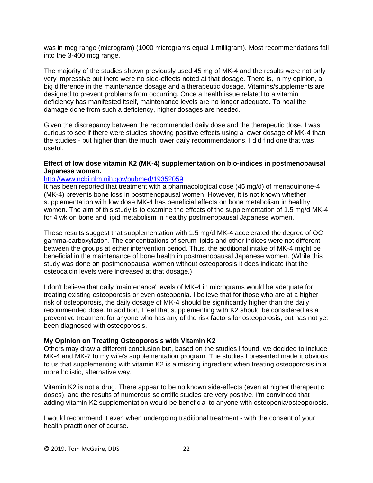was in mcg range (microgram) (1000 micrograms equal 1 milligram). Most recommendations fall into the 3-400 mcg range.

The majority of the studies shown previously used 45 mg of MK-4 and the results were not only very impressive but there were no side-effects noted at that dosage. There is, in my opinion, a big difference in the maintenance dosage and a therapeutic dosage. Vitamins/supplements are designed to prevent problems from occurring. Once a health issue related to a vitamin deficiency has manifested itself, maintenance levels are no longer adequate. To heal the damage done from such a deficiency, higher dosages are needed.

Given the discrepancy between the recommended daily dose and the therapeutic dose, I was curious to see if there were studies showing positive effects using a lower dosage of MK-4 than the studies - but higher than the much lower daily recommendations. I did find one that was useful.

## **Effect of low dose vitamin K2 (MK-4) supplementation on bio-indices in postmenopausal Japanese women.**

## <http://www.ncbi.nlm.nih.gov/pubmed/19352059>

It has been reported that treatment with a pharmacological dose (45 mg/d) of menaquinone-4 (MK-4) prevents bone loss in postmenopausal women. However, it is not known whether supplementation with low dose MK-4 has beneficial effects on bone metabolism in healthy women. The aim of this study is to examine the effects of the supplementation of 1.5 mg/d MK-4 for 4 wk on bone and lipid metabolism in healthy postmenopausal Japanese women.

These results suggest that supplementation with 1.5 mg/d MK-4 accelerated the degree of OC gamma-carboxylation. The concentrations of serum lipids and other indices were not different between the groups at either intervention period. Thus, the additional intake of MK-4 might be beneficial in the maintenance of bone health in postmenopausal Japanese women. (While this study was done on postmenopausal women without osteoporosis it does indicate that the osteocalcin levels were increased at that dosage.)

I don't believe that daily 'maintenance' levels of MK-4 in micrograms would be adequate for treating existing osteoporosis or even osteopenia. I believe that for those who are at a higher risk of osteoporosis, the daily dosage of MK-4 should be significantly higher than the daily recommended dose. In addition, I feel that supplementing with K2 should be considered as a preventive treatment for anyone who has any of the risk factors for osteoporosis, but has not yet been diagnosed with osteoporosis.

## **My Opinion on Treating Osteoporosis with Vitamin K2**

Others may draw a different conclusion but, based on the studies I found, we decided to include MK-4 and MK-7 to my wife's supplementation program. The studies I presented made it obvious to us that supplementing with vitamin K2 is a missing ingredient when treating osteoporosis in a more holistic, alternative way.

Vitamin K2 is not a drug. There appear to be no known side-effects (even at higher therapeutic doses), and the results of numerous scientific studies are very positive. I'm convinced that adding vitamin K2 supplementation would be beneficial to anyone with osteopenia/osteoporosis.

I would recommend it even when undergoing traditional treatment - with the consent of your health practitioner of course.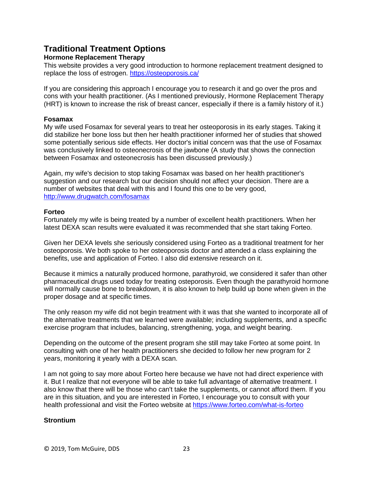# **Traditional Treatment Options**

## **Hormone Replacement Therapy**

This website provides a very good introduction to hormone replacement treatment designed to replace the loss of estrogen.<https://osteoporosis.ca/>

If you are considering this approach I encourage you to research it and go over the pros and cons with your health practitioner. (As I mentioned previously, Hormone Replacement Therapy (HRT) is known to increase the risk of breast cancer, especially if there is a family history of it.)

## **Fosamax**

My wife used Fosamax for several years to treat her osteoporosis in its early stages. Taking it did stabilize her bone loss but then her health practitioner informed her of studies that showed some potentially serious side effects. Her doctor's initial concern was that the use of Fosamax was conclusively linked to osteonecrosis of the jawbone (A study that shows the connection between Fosamax and osteonecrosis has been discussed previously.)

Again, my wife's decision to stop taking Fosamax was based on her health practitioner's suggestion and our research but our decision should not affect your decision. There are a number of websites that deal with this and I found this one to be very good, <http://www.drugwatch.com/fosamax>

## **Forteo**

Fortunately my wife is being treated by a number of excellent health practitioners. When her latest DEXA scan results were evaluated it was recommended that she start taking Forteo.

Given her DEXA levels she seriously considered using Forteo as a traditional treatment for her osteoporosis. We both spoke to her osteoporosis doctor and attended a class explaining the benefits, use and application of Forteo. I also did extensive research on it.

Because it mimics a naturally produced hormone, parathyroid, we considered it safer than other pharmaceutical drugs used today for treating osteporosis. Even though the parathyroid hormone will normally cause bone to breakdown, it is also known to help build up bone when given in the proper dosage and at specific times.

The only reason my wife did not begin treatment with it was that she wanted to incorporate all of the alternative treatments that we learned were available; including supplements, and a specific exercise program that includes, balancing, strengthening, yoga, and weight bearing.

Depending on the outcome of the present program she still may take Forteo at some point. In consulting with one of her health practitioners she decided to follow her new program for 2 years, monitoring it yearly with a DEXA scan.

I am not going to say more about Forteo here because we have not had direct experience with it. But I realize that not everyone will be able to take full advantage of alternative treatment. I also know that there will be those who can't take the supplements, or cannot afford them. If you are in this situation, and you are interested in Forteo, I encourage you to consult with your health professional and visit the Forteo website at<https://www.forteo.com/what-is-forteo>

## **Strontium**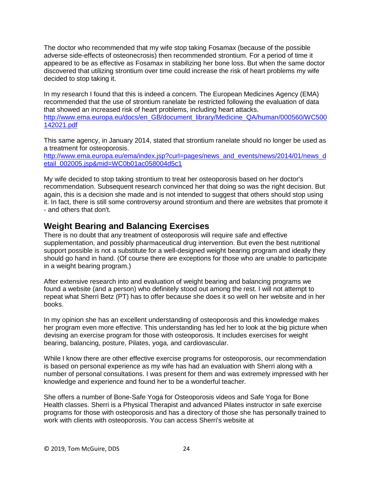The doctor who recommended that my wife stop taking Fosamax (because of the possible adverse side-effects of osteonecrosis) then recommended strontium. For a period of time it appeared to be as effective as Fosamax in stabilizing her bone loss. But when the same doctor discovered that utilizing strontium over time could increase the risk of heart problems my wife decided to stop taking it.

In my research I found that this is indeed a concern. The European Medicines Agency (EMA) recommended that the use of strontium ranelate be restricted following the evaluation of data that showed an increased risk of heart problems, including heart attacks. [http://www.ema.europa.eu/docs/en\\_GB/document\\_library/Medicine\\_QA/human/000560/WC500](http://www.ema.europa.eu/docs/en_GB/document_library/Medicine_QA/human/000560/WC500142021.pdf) [142021.pdf](http://www.ema.europa.eu/docs/en_GB/document_library/Medicine_QA/human/000560/WC500142021.pdf)

This same agency, in January 2014, stated that strontium ranelate should no longer be used as a treatment for osteoporosis.

[http://www.ema.europa.eu/ema/index.jsp?curl=pages/news\\_and\\_events/news/2014/01/news\\_d](http://www.ema.europa.eu/ema/index.jsp?curl=pages/news_and_events/news/2014/01/news_detail_002005.jsp&mid=WC0b01ac058004d5c1) [etail\\_002005.jsp&mid=WC0b01ac058004d5c1](http://www.ema.europa.eu/ema/index.jsp?curl=pages/news_and_events/news/2014/01/news_detail_002005.jsp&mid=WC0b01ac058004d5c1)

My wife decided to stop taking strontium to treat her osteoporosis based on her doctor's recommendation. Subsequent research convinced her that doing so was the right decision. But again, this is a decision she made and is not intended to suggest that others should stop using it. In fact, there is still some controversy around strontium and there are websites that promote it - and others that don't.

# **Weight Bearing and Balancing Exercises**

There is no doubt that any treatment of osteoporosis will require safe and effective supplementation, and possibly pharmaceutical drug intervention. But even the best nutritional support possible is not a substitute for a well-designed weight bearing program and ideally they should go hand in hand. (Of course there are exceptions for those who are unable to participate in a weight bearing program.)

After extensive research into and evaluation of weight bearing and balancing programs we found a website (and a person) who definitely stood out among the rest. I will not attempt to repeat what Sherri Betz (PT) has to offer because she does it so well on her website and in her books.

In my opinion she has an excellent understanding of osteoporosis and this knowledge makes her program even more effective. This understanding has led her to look at the big picture when devising an exercise program for those with osteoporosis. It includes exercises for weight bearing, balancing, posture, Pilates, yoga, and cardiovascular.

While I know there are other effective exercise programs for osteoporosis, our recommendation is based on personal experience as my wife has had an evaluation with Sherri along with a number of personal consultations. I was present for them and was extremely impressed with her knowledge and experience and found her to be a wonderful teacher.

She offers a number of Bone-Safe Yoga for Osteoporosis videos and Safe Yoga for Bone Health classes. Sherri is a Physical Therapist and advanced Pilates instructor in safe exercise programs for those with osteoporosis and has a directory of those she has personally trained to work with clients with osteoporosis. You can access Sherri's website at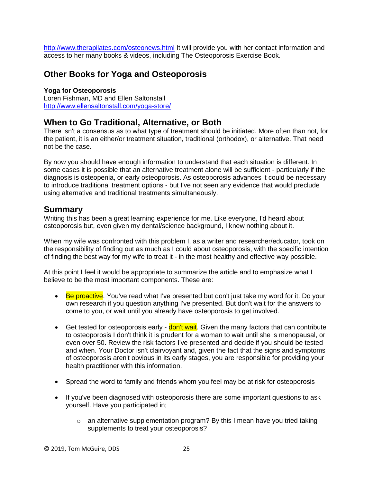<http://www.therapilates.com/osteonews.html> It will provide you with her contact information and access to her many books & videos, including The Osteoporosis Exercise Book.

# **Other Books for Yoga and Osteoporosis**

## **Yoga for Osteoporosis** Loren Fishman, MD and Ellen Saltonstall

<http://www.ellensaltonstall.com/yoga-store/>

# **When to Go Traditional, Alternative, or Both**

There isn't a consensus as to what type of treatment should be initiated. More often than not, for the patient, it is an either/or treatment situation, traditional (orthodox), or alternative. That need not be the case.

By now you should have enough information to understand that each situation is different. In some cases it is possible that an alternative treatment alone will be sufficient - particularly if the diagnosis is osteopenia, or early osteoporosis. As osteoporosis advances it could be necessary to introduce traditional treatment options - but I've not seen any evidence that would preclude using alternative and traditional treatments simultaneously.

## **Summary**

Writing this has been a great learning experience for me. Like everyone, I'd heard about osteoporosis but, even given my dental/science background, I knew nothing about it.

When my wife was confronted with this problem I, as a writer and researcher/educator, took on the responsibility of finding out as much as I could about osteoporosis, with the specific intention of finding the best way for my wife to treat it - in the most healthy and effective way possible.

At this point I feel it would be appropriate to summarize the article and to emphasize what I believe to be the most important components. These are:

- Be proactive. You've read what I've presented but don't just take my word for it. Do your own research if you question anything I've presented. But don't wait for the answers to come to you, or wait until you already have osteoporosis to get involved.
- Get tested for osteoporosis early **don't wait**. Given the many factors that can contribute to osteoporosis I don't think it is prudent for a woman to wait until she is menopausal, or even over 50. Review the risk factors I've presented and decide if you should be tested and when. Your Doctor isn't clairvoyant and, given the fact that the signs and symptoms of osteoporosis aren't obvious in its early stages, you are responsible for providing your health practitioner with this information.
- Spread the word to family and friends whom you feel may be at risk for osteoporosis
- If you've been diagnosed with osteoporosis there are some important questions to ask yourself. Have you participated in;
	- o an alternative supplementation program? By this I mean have you tried taking supplements to treat your osteoporosis?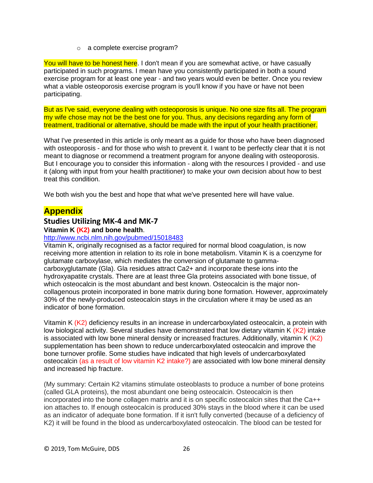o a complete exercise program?

You will have to be honest here. I don't mean if you are somewhat active, or have casually participated in such programs. I mean have you consistently participated in both a sound exercise program for at least one year - and two years would even be better. Once you review what a viable osteoporosis exercise program is you'll know if you have or have not been participating.

But as I've said, everyone dealing with osteoporosis is unique. No one size fits all. The program my wife chose may not be the best one for you. Thus, any decisions regarding any form of treatment, traditional or alternative, should be made with the input of your health practitioner.

What I've presented in this article is only meant as a guide for those who have been diagnosed with osteoporosis - and for those who wish to prevent it. I want to be perfectly clear that it is not meant to diagnose or recommend a treatment program for anyone dealing with osteoporosis. But I encourage you to consider this information - along with the resources I provided - and use it (along with input from your health practitioner) to make your own decision about how to best treat this condition.

We both wish you the best and hope that what we've presented here will have value.

# **Appendix**

## **Studies Utilizing MK-4 and MK-7**

## **Vitamin K (K2) and bone health**.

## <http://www.ncbi.nlm.nih.gov/pubmed/15018483>

Vitamin K, originally recognised as a factor required for normal blood coagulation, is now receiving more attention in relation to its role in bone metabolism. Vitamin K is a coenzyme for glutamate carboxylase, which mediates the conversion of glutamate to gammacarboxyglutamate (Gla). Gla residues attract Ca2+ and incorporate these ions into the hydroxyapatite crystals. There are at least three Gla proteins associated with bone tissue, of which osteocalcin is the most abundant and best known. Osteocalcin is the major noncollagenous protein incorporated in bone matrix during bone formation. However, approximately 30% of the newly-produced osteocalcin stays in the circulation where it may be used as an indicator of bone formation.

Vitamin K (K2) deficiency results in an increase in undercarboxylated osteocalcin, a protein with low biological activity. Several studies have demonstrated that low dietary vitamin K  $(K2)$  intake is associated with low bone mineral density or increased fractures. Additionally, vitamin  $K(K2)$ supplementation has been shown to reduce undercarboxylated osteocalcin and improve the bone turnover profile. Some studies have indicated that high levels of undercarboxylated osteocalcin (as a result of low vitamin K2 intake?) are associated with low bone mineral density and increased hip fracture.

(My summary: Certain K2 vitamins stimulate osteoblasts to produce a number of bone proteins (called GLA proteins), the most abundant one being osteocalcin. Osteocalcin is then incorporated into the bone collagen matrix and it is on specific osteocalcin sites that the Ca++ ion attaches to. If enough osteocalcin is produced 30% stays in the blood where it can be used as an indicator of adequate bone formation. If it isn't fully converted (because of a deficiency of K2) it will be found in the blood as undercarboxylated osteocalcin. The blood can be tested for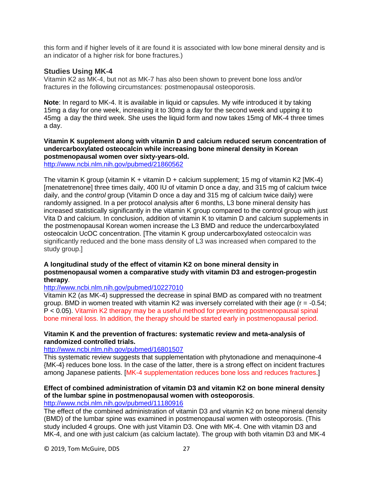this form and if higher levels of it are found it is associated with low bone mineral density and is an indicator of a higher risk for bone fractures.)

## **Studies Using MK-4**

Vitamin K2 as MK-4, but not as MK-7 has also been shown to prevent bone loss and/or fractures in the following circumstances: postmenopausal osteoporosis.

**Note**: In regard to MK-4. It is available in liquid or capsules. My wife introduced it by taking 15mg a day for one week, increasing it to 30mg a day for the second week and upping it to 45mg a day the third week. She uses the liquid form and now takes 15mg of MK-4 three times a day.

## **Vitamin K supplement along with vitamin D and calcium reduced serum concentration of undercarboxylated osteocalcin while increasing bone mineral density in Korean postmenopausal women over sixty-years-old.**

<http://www.ncbi.nlm.nih.gov/pubmed/21860562>

The vitamin K group (vitamin K + vitamin D + calcium supplement; 15 mg of vitamin K2 [MK-4) [menatetrenone] three times daily, 400 IU of vitamin D once a day, and 315 mg of calcium twice daily, and the *control* group (Vitamin D once a day and 315 mg of calcium twice daily) were randomly assigned. In a per protocol analysis after 6 months, L3 bone mineral density has increased statistically significantly in the vitamin K group compared to the control group with just Vita D and calcium. In conclusion, addition of vitamin K to vitamin D and calcium supplements in the postmenopausal Korean women increase the L3 BMD and reduce the undercarboxylated osteocalcin UcOC concentration. [The vitamin K group undercarboxylated osteocalcin was significantly reduced and the bone mass density of L3 was increased when compared to the study group.]

## **A longitudinal study of the effect of vitamin K2 on bone mineral density in postmenopausal women a comparative study with vitamin D3 and estrogen-progestin therapy**.

#### <http://www.ncbi.nlm.nih.gov/pubmed/10227010>

Vitamin K2 (as MK-4) suppressed the decrease in spinal BMD as compared with no treatment group. BMD in women treated with vitamin K2 was inversely correlated with their age ( $r = -0.54$ ; P < 0.05). Vitamin K2 therapy may be a useful method for preventing postmenopausal spinal bone mineral loss. In addition, the therapy should be started early in postmenopausal period.

## **Vitamin K and the prevention of fractures: systematic review and meta-analysis of randomized controlled trials.**

#### <http://www.ncbi.nlm.nih.gov/pubmed/16801507>

This systematic review suggests that supplementation with phytonadione and menaquinone-4 {MK-4} reduces bone loss. In the case of the latter, there is a strong effect on incident fractures among Japanese patients. [MK-4 supplementation reduces bone loss and reduces fractures.]

## **Effect of combined administration of vitamin D3 and vitamin K2 on bone mineral density of the lumbar spine in postmenopausal women with osteoporosis**.

## <http://www.ncbi.nlm.nih.gov/pubmed/11180916>

The effect of the combined administration of vitamin D3 and vitamin K2 on bone mineral density (BMD) of the lumbar spine was examined in postmenopausal women with osteoporosis. (This study included 4 groups. One with just Vitamin D3. One with MK-4. One with vitamin D3 and MK-4, and one with just calcium (as calcium lactate). The group with both vitamin D3 and MK-4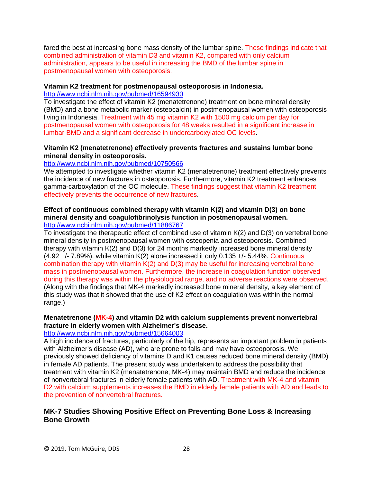fared the best at increasing bone mass density of the lumbar spine. These findings indicate that combined administration of vitamin D3 and vitamin K2, compared with only calcium administration, appears to be useful in increasing the BMD of the lumbar spine in postmenopausal women with osteoporosis.

#### **Vitamin K2 treatment for postmenopausal osteoporosis in Indonesia.**

<http://www.ncbi.nlm.nih.gov/pubmed/16594930>

To investigate the effect of vitamin K2 (menatetrenone) treatment on bone mineral density (BMD) and a bone metabolic marker (osteocalcin) in postmenopausal women with osteoporosis living in Indonesia. Treatment with 45 mg vitamin K2 with 1500 mg calcium per day for postmenopausal women with osteoporosis for 48 weeks resulted in a significant increase in lumbar BMD and a significant decrease in undercarboxylated OC levels.

## **Vitamin K2 (menatetrenone) effectively prevents fractures and sustains lumbar bone mineral density in osteoporosis.**

#### <http://www.ncbi.nlm.nih.gov/pubmed/10750566>

We attempted to investigate whether vitamin K2 (menatetrenone) treatment effectively prevents the incidence of new fractures in osteoporosis. Furthermore, vitamin K2 treatment enhances gamma-carboxylation of the OC molecule. These findings suggest that vitamin K2 treatment effectively prevents the occurrence of new fractures.

# **Effect of continuous combined therapy with vitamin K(2) and vitamin D(3) on bone mineral density and coagulofibrinolysis function in postmenopausal women.**

<http://www.ncbi.nlm.nih.gov/pubmed/11886767>

To investigate the therapeutic effect of combined use of vitamin K(2) and D(3) on vertebral bone mineral density in postmenopausal women with osteopenia and osteoporosis. Combined therapy with vitamin K(2) and D(3) for 24 months markedly increased bone mineral density (4.92 +/- 7.89%), while vitamin K(2) alone increased it only 0.135 +/- 5.44%. Continuous combination therapy with vitamin K(2) and D(3) may be useful for increasing vertebral bone mass in postmenopausal women. Furthermore, the increase in coagulation function observed during this therapy was within the physiological range, and no adverse reactions were observed. (Along with the findings that MK-4 markedly increased bone mineral density, a key element of this study was that it showed that the use of K2 effect on coagulation was within the normal range.)

## **Menatetrenone (MK-4) and vitamin D2 with calcium supplements prevent nonvertebral fracture in elderly women with Alzheimer's disease.**

#### <http://www.ncbi.nlm.nih.gov/pubmed/15664003>

A high incidence of fractures, particularly of the hip, represents an important problem in patients with Alzheimer's disease (AD), who are prone to falls and may have osteoporosis. We previously showed deficiency of vitamins D and K1 causes reduced bone mineral density (BMD) in female AD patients. The present study was undertaken to address the possibility that treatment with vitamin K2 (menatetrenone; MK-4) may maintain BMD and reduce the incidence of nonvertebral fractures in elderly female patients with AD. Treatment with MK-4 and vitamin D2 with calcium supplements increases the BMD in elderly female patients with AD and leads to the prevention of nonvertebral fractures.

## **MK-7 Studies Showing Positive Effect on Preventing Bone Loss & Increasing Bone Growth**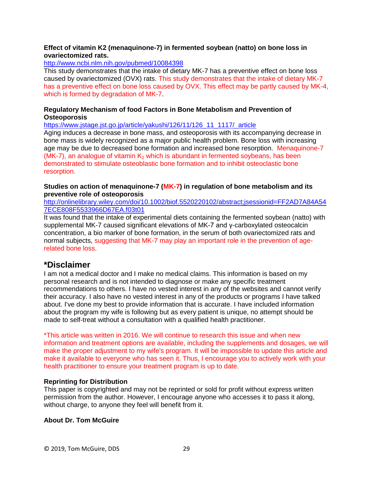## **Effect of vitamin K2 (menaquinone-7) in fermented soybean (natto) on bone loss in ovariectomized rats.**

<http://www.ncbi.nlm.nih.gov/pubmed/10084398>

This study demonstrates that the intake of dietary MK-7 has a preventive effect on bone loss caused by ovariectomized (OVX) rats. This study demonstrates that the intake of dietary MK-7 has a preventive effect on bone loss caused by OVX. This effect may be partly caused by MK-4, which is formed by degradation of MK-7.

## **Regulatory Mechanism of food Factors in Bone Metabolism and Prevention of Osteoporosis**

[https://www.jstage.jst.go.jp/article/yakushi/126/11/126\\_11\\_1117/\\_article](https://www.jstage.jst.go.jp/article/yakushi/126/11/126_11_1117/_article)

Aging induces a decrease in bone mass, and osteoporosis with its accompanying decrease in bone mass is widely recognized as a major public health problem. Bone loss with increasing age may be due to decreased bone formation and increased bone resorption. Menaquinone-7 (MK-7), an analogue of vitamin  $K_2$  which is abundant in fermented soybeans, has been demonstrated to stimulate osteoblastic bone formation and to inhibit osteoclastic bone resorption.

## **Studies on action of menaquinone-7 (MK-7) in regulation of bone metabolism and its preventive role of osteoporosis**

[http://onlinelibrary.wiley.com/doi/10.1002/biof.5520220102/abstract;jsessionid=FF2AD7A84A54](http://onlinelibrary.wiley.com/doi/10.1002/biof.5520220102/abstract;jsessionid=FF2AD7A84A547ECE808F5533966D67EA.f03t01) [7ECE808F5533966D67EA.f03t01](http://onlinelibrary.wiley.com/doi/10.1002/biof.5520220102/abstract;jsessionid=FF2AD7A84A547ECE808F5533966D67EA.f03t01)

It was found that the intake of experimental diets containing the fermented soybean (natto) with supplemental MK-7 caused significant elevations of MK-7 and γ-carboxylated osteocalcin concentration, a bio marker of bone formation, in the serum of both ovariectomized rats and normal subjects, suggesting that MK-7 may play an important role in the prevention of agerelated bone loss.

## **\*Disclaimer**

I am not a medical doctor and I make no medical claims. This information is based on my personal research and is not intended to diagnose or make any specific treatment recommendations to others. I have no vested interest in any of the websites and cannot verify their accuracy. I also have no vested interest in any of the products or programs I have talked about. I've done my best to provide information that is accurate. I have included information about the program my wife is following but as every patient is unique, no attempt should be made to self-treat without a consultation with a qualified health practitioner.

\*This article was written in 2016. We will continue to research this issue and when new information and treatment options are available, including the supplements and dosages, we will make the proper adjustment to my wife's program. It will be impossible to update this article and make it available to everyone who has seen it. Thus, I encourage you to actively work with your health practitioner to ensure your treatment program is up to date.

## **Reprinting for Distribution**

This paper is copyrighted and may not be reprinted or sold for profit without express written permission from the author. However, I encourage anyone who accesses it to pass it along, without charge, to anyone they feel will benefit from it.

## **About Dr. Tom McGuire**